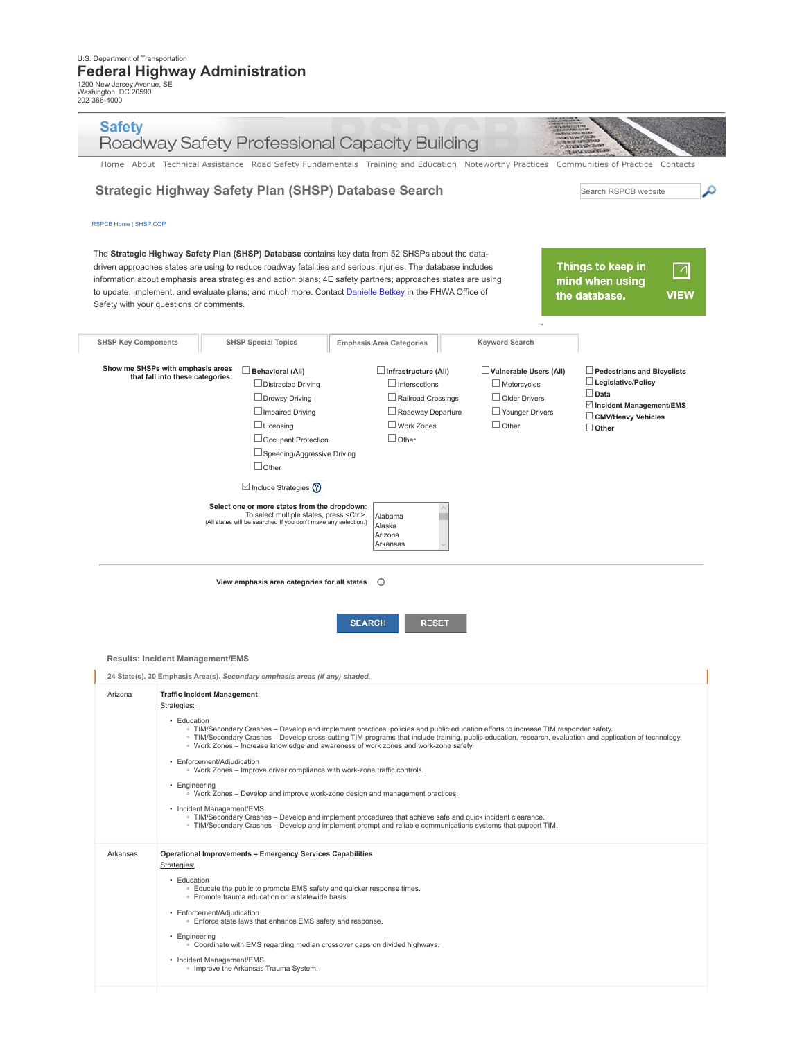1200 New Jersey Avenue, SE Washington, DC 20590 202-366-4000

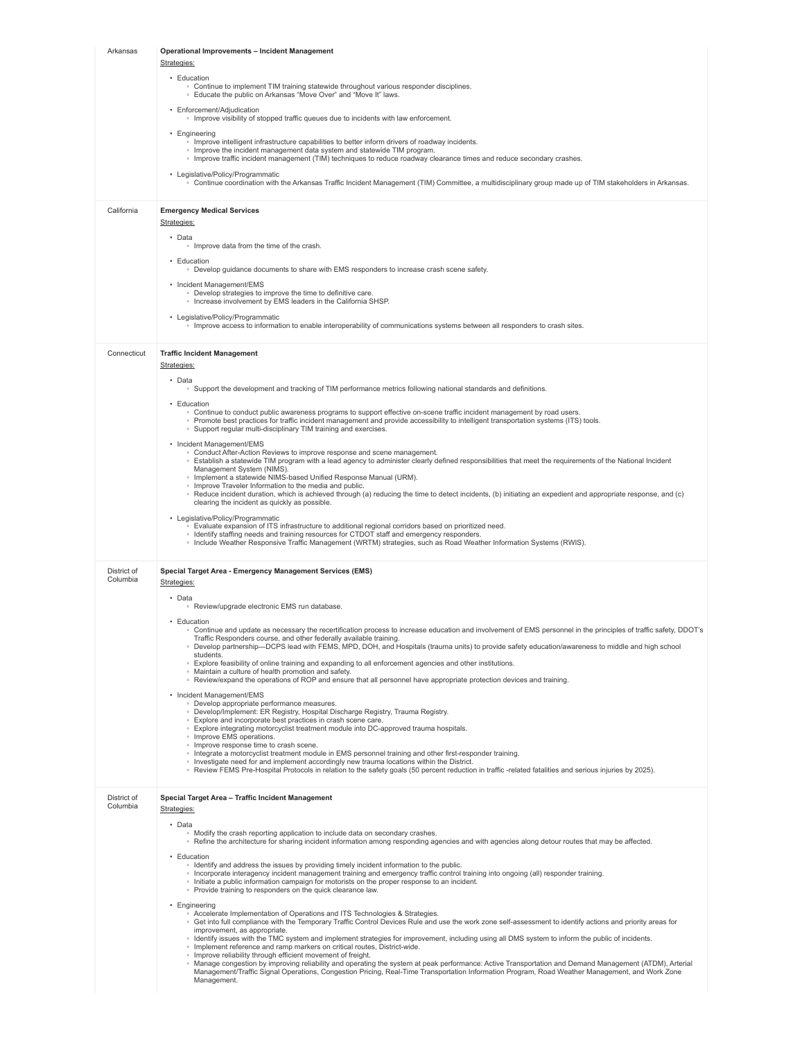| Arkansas                | Operational Improvements - Incident Management                                                                                                                                                                                                                                                                                                                                             |
|-------------------------|--------------------------------------------------------------------------------------------------------------------------------------------------------------------------------------------------------------------------------------------------------------------------------------------------------------------------------------------------------------------------------------------|
|                         | Strategies:                                                                                                                                                                                                                                                                                                                                                                                |
|                         | • Education<br>. Continue to implement TIM training statewide throughout various responder disciplines.<br>. Educate the public on Arkansas "Move Over" and "Move It" laws.                                                                                                                                                                                                                |
|                         | • Enforcement/Adjudication<br>. Improve visibility of stopped traffic queues due to incidents with law enforcement.                                                                                                                                                                                                                                                                        |
|                         | • Engineering<br>. Improve intelligent infrastructure capabilities to better inform drivers of roadway incidents.<br>• Improve the incident management data system and statewide TIM program.<br>Improve traffic incident management (TIM) techniques to reduce roadway clearance times and reduce secondary crashes.                                                                      |
|                         | • Legislative/Policy/Programmatic<br>∘ Continue coordination with the Arkansas Traffic Incident Management (TIM) Committee, a multidisciplinary group made up of TIM stakeholders in Arkansas.                                                                                                                                                                                             |
| California              | <b>Emergency Medical Services</b>                                                                                                                                                                                                                                                                                                                                                          |
|                         | Strategies:                                                                                                                                                                                                                                                                                                                                                                                |
|                         | • Data<br>• Improve data from the time of the crash.                                                                                                                                                                                                                                                                                                                                       |
|                         | • Education<br>• Develop guidance documents to share with EMS responders to increase crash scene safety.                                                                                                                                                                                                                                                                                   |
|                         | • Incident Management/EMS<br>• Develop strategies to improve the time to definitive care.                                                                                                                                                                                                                                                                                                  |
|                         | . Increase involvement by EMS leaders in the California SHSP.<br>• Legislative/Policy/Programmatic                                                                                                                                                                                                                                                                                         |
|                         | Improve access to information to enable interoperability of communications systems between all responders to crash sites.                                                                                                                                                                                                                                                                  |
| Connecticut             | <b>Traffic Incident Management</b><br>Strategies:                                                                                                                                                                                                                                                                                                                                          |
|                         | • Data<br>○ Support the development and tracking of TIM performance metrics following national standards and definitions.                                                                                                                                                                                                                                                                  |
|                         | • Education<br>∘ Continue to conduct public awareness programs to support effective on-scene traffic incident management by road users.                                                                                                                                                                                                                                                    |
|                         | ○ Promote best practices for traffic incident management and provide accessibility to intelligent transportation systems (ITS) tools.<br>• Support regular multi-disciplinary TIM training and exercises.                                                                                                                                                                                  |
|                         | • Incident Management/EMS<br>• Conduct After-Action Reviews to improve response and scene management.<br>∘ Establish a statewide TIM program with a lead agency to administer clearly defined responsibilities that meet the requirements of the National Incident                                                                                                                         |
|                         | Management System (NIMS).<br>· Implement a statewide NIMS-based Unified Response Manual (URM).                                                                                                                                                                                                                                                                                             |
|                         | • Improve Traveler Information to the media and public.<br>∘ Reduce incident duration, which is achieved through (a) reducing the time to detect incidents, (b) initiating an expedient and appropriate response, and (c)<br>clearing the incident as quickly as possible.                                                                                                                 |
|                         | • Legislative/Policy/Programmatic<br>○ Evaluate expansion of ITS infrastructure to additional regional corridors based on prioritized need.                                                                                                                                                                                                                                                |
|                         | • Identify staffing needs and training resources for CTDOT staff and emergency responders.<br>Include Weather Responsive Traffic Management (WRTM) strategies, such as Road Weather Information Systems (RWIS).                                                                                                                                                                            |
| District of<br>Columbia | Special Target Area - Emergency Management Services (EMS)<br>Strategies:                                                                                                                                                                                                                                                                                                                   |
|                         | • Data<br>○ Review/upgrade electronic EMS run database.                                                                                                                                                                                                                                                                                                                                    |
|                         | • Education                                                                                                                                                                                                                                                                                                                                                                                |
|                         | ○ Continue and update as necessary the recertification process to increase education and involvement of EMS personnel in the principles of traffic safety, DDOT's<br>Traffic Responders course, and other federally available training.<br>Develop partnership—DCPS lead with FEMS, MPD, DOH, and Hospitals (trauma units) to provide safety education/awareness to middle and high school |
|                         | students.<br>○ Explore feasibility of online training and expanding to all enforcement agencies and other institutions.                                                                                                                                                                                                                                                                    |
|                         | • Maintain a culture of health promotion and safety.<br>. Review/expand the operations of ROP and ensure that all personnel have appropriate protection devices and training.                                                                                                                                                                                                              |
|                         | • Incident Management/EMS<br>· Develop appropriate performance measures.<br>· Develop/Implement: ER Registry, Hospital Discharge Registry, Trauma Registry.                                                                                                                                                                                                                                |
|                         | · Explore and incorporate best practices in crash scene care.<br>. Explore integrating motorcyclist treatment module into DC-approved trauma hospitals.                                                                                                                                                                                                                                    |
|                         | • Improve EMS operations.<br>. Improve response time to crash scene.<br>Integrate a motorcyclist treatment module in EMS personnel training and other first-responder training.                                                                                                                                                                                                            |
|                         | • Investigate need for and implement accordingly new trauma locations within the District.<br>∘ Review FEMS Pre-Hospital Protocols in relation to the safety goals (50 percent reduction in traffic -related fatalities and serious injuries by 2025).                                                                                                                                     |
| District of<br>Columbia | Special Target Area - Traffic Incident Management                                                                                                                                                                                                                                                                                                                                          |
|                         | Strategies:<br>• Data                                                                                                                                                                                                                                                                                                                                                                      |
|                         | • Modify the crash reporting application to include data on secondary crashes.<br>∘ Refine the architecture for sharing incident information among responding agencies and with agencies along detour routes that may be affected.                                                                                                                                                         |
|                         | • Education<br>· Identify and address the issues by providing timely incident information to the public.                                                                                                                                                                                                                                                                                   |
|                         | · Incorporate interagency incident management training and emergency traffic control training into ongoing (all) responder training.<br>• Initiate a public information campaign for motorists on the proper response to an incident.<br>• Provide training to responders on the quick clearance law.                                                                                      |
|                         | • Engineering<br>Accelerate Implementation of Operations and ITS Technologies & Strategies.                                                                                                                                                                                                                                                                                                |
|                         | ∘ Get into full compliance with the Temporary Traffic Control Devices Rule and use the work zone self-assessment to identify actions and priority areas for<br>improvement, as appropriate.                                                                                                                                                                                                |
|                         | Identify issues with the TMC system and implement strategies for improvement, including using all DMS system to inform the public of incidents.<br>· Implement reference and ramp markers on critical routes, District-wide.<br>• Improve reliability through efficient movement of freight.                                                                                               |
|                         | Manage congestion by improving reliability and operating the system at peak performance: Active Transportation and Demand Management (ATDM), Arterial<br>Management/Traffic Signal Operations, Congestion Pricing, Real-Time Transportation Information Program, Road Weather Management, and Work Zone<br>Management.                                                                     |
|                         |                                                                                                                                                                                                                                                                                                                                                                                            |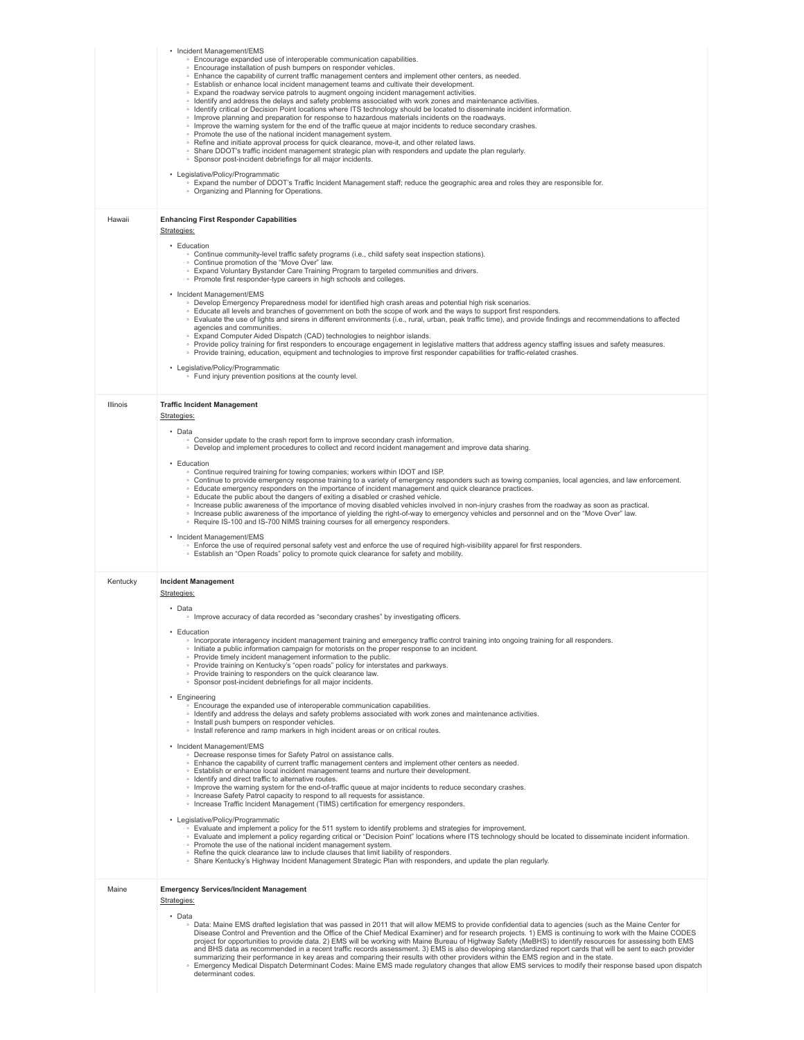|                 | • Incident Management/EMS<br>• Encourage expanded use of interoperable communication capabilities.<br>· Encourage installation of push bumpers on responder vehicles.<br>. Enhance the capability of current traffic management centers and implement other centers, as needed.<br>. Establish or enhance local incident management teams and cultivate their development.<br>◦ Expand the roadway service patrols to augment ongoing incident management activities.<br>· Identify and address the delays and safety problems associated with work zones and maintenance activities.<br>Identify critical or Decision Point locations where ITS technology should be located to disseminate incident information.<br>Improve planning and preparation for response to hazardous materials incidents on the roadways.<br>Improve the warning system for the end of the traffic queue at major incidents to reduce secondary crashes.<br>• Promote the use of the national incident management system.<br>. Refine and initiate approval process for quick clearance, move-it, and other related laws.<br>• Share DDOT's traffic incident management strategic plan with responders and update the plan regularly.<br>Sponsor post-incident debriefings for all major incidents.<br>• Legislative/Policy/Programmatic<br>∘ Expand the number of DDOT's Traffic Incident Management staff; reduce the geographic area and roles they are responsible for.<br>• Organizing and Planning for Operations.                                                                                                                                                                                                                                                                                                                                                                                                                                                                                                                                                                                                                                                                                                                                                                                              |
|-----------------|---------------------------------------------------------------------------------------------------------------------------------------------------------------------------------------------------------------------------------------------------------------------------------------------------------------------------------------------------------------------------------------------------------------------------------------------------------------------------------------------------------------------------------------------------------------------------------------------------------------------------------------------------------------------------------------------------------------------------------------------------------------------------------------------------------------------------------------------------------------------------------------------------------------------------------------------------------------------------------------------------------------------------------------------------------------------------------------------------------------------------------------------------------------------------------------------------------------------------------------------------------------------------------------------------------------------------------------------------------------------------------------------------------------------------------------------------------------------------------------------------------------------------------------------------------------------------------------------------------------------------------------------------------------------------------------------------------------------------------------------------------------------------------------------------------------------------------------------------------------------------------------------------------------------------------------------------------------------------------------------------------------------------------------------------------------------------------------------------------------------------------------------------------------------------------------------------------------------------------------------------------------------------------------------------|
| Hawaii          | <b>Enhancing First Responder Capabilities</b><br>Strategies:<br>• Education<br>• Continue community-level traffic safety programs (i.e., child safety seat inspection stations).<br>• Continue promotion of the "Move Over" law.<br>. Expand Voluntary Bystander Care Training Program to targeted communities and drivers.<br>• Promote first responder-type careers in high schools and colleges.<br>• Incident Management/EMS<br>∘ Develop Emergency Preparedness model for identified high crash areas and potential high risk scenarios.<br>Educate all levels and branches of government on both the scope of work and the ways to support first responders.<br>∘ Evaluate the use of lights and sirens in different environments (i.e., rural, urban, peak traffic time), and provide findings and recommendations to affected<br>agencies and communities.<br>• Expand Computer Aided Dispatch (CAD) technologies to neighbor islands.<br>∘ Provide policy training for first responders to encourage engagement in legislative matters that address agency staffing issues and safety measures.<br>○ Provide training, education, equipment and technologies to improve first responder capabilities for traffic-related crashes.<br>• Legislative/Policy/Programmatic<br>• Fund injury prevention positions at the county level.                                                                                                                                                                                                                                                                                                                                                                                                                                                                                                                                                                                                                                                                                                                                                                                                                                                                                                                                                        |
| <b>Illinois</b> | <b>Traffic Incident Management</b><br>Strategies:<br>• Data<br>. Consider update to the crash report form to improve secondary crash information.<br>• Develop and implement procedures to collect and record incident management and improve data sharing.<br>• Education<br>. Continue required training for towing companies; workers within IDOT and ISP.<br>∘ Continue to provide emergency response training to a variety of emergency responders such as towing companies, local agencies, and law enforcement.<br>Educate emergency responders on the importance of incident management and quick clearance practices.<br>. Educate the public about the dangers of exiting a disabled or crashed vehicle.<br>Increase public awareness of the importance of moving disabled vehicles involved in non-injury crashes from the roadway as soon as practical.<br>∘ Increase public awareness of the importance of yielding the right-of-way to emergency vehicles and personnel and on the "Move Over" law.<br>○ Require IS-100 and IS-700 NIMS training courses for all emergency responders.<br>• Incident Management/EMS<br>∘ Enforce the use of required personal safety vest and enforce the use of required high-visibility apparel for first responders.<br>○ Establish an "Open Roads" policy to promote quick clearance for safety and mobility.                                                                                                                                                                                                                                                                                                                                                                                                                                                                                                                                                                                                                                                                                                                                                                                                                                                                                                                                   |
| Kentucky        | <b>Incident Management</b><br>Strategies:<br>• Data<br>. Improve accuracy of data recorded as "secondary crashes" by investigating officers.<br>Education<br>Incorporate interagency incident management training and emergency traffic control training into ongoing training for all responders.<br>• Initiate a public information campaign for motorists on the proper response to an incident.<br>• Provide timely incident management information to the public.<br>• Provide training on Kentucky's "open roads" policy for interstates and parkways.<br>• Provide training to responders on the quick clearance law.<br>• Sponsor post-incident debriefings for all major incidents.<br>• Engineering<br>. Encourage the expanded use of interoperable communication capabilities.<br>∘ Identify and address the delays and safety problems associated with work zones and maintenance activities.<br>· Install push bumpers on responder vehicles.<br>. Install reference and ramp markers in high incident areas or on critical routes.<br>• Incident Management/EMS<br>· Decrease response times for Safety Patrol on assistance calls.<br>. Enhance the capability of current traffic management centers and implement other centers as needed.<br>. Establish or enhance local incident management teams and nurture their development.<br>• Identify and direct traffic to alternative routes.<br>Improve the warning system for the end-of-traffic queue at major incidents to reduce secondary crashes.<br>. Increase Safety Patrol capacity to respond to all requests for assistance.<br>. Increase Traffic Incident Management (TIMS) certification for emergency responders.<br>• Legislative/Policy/Programmatic<br>∘ Evaluate and implement a policy for the 511 system to identify problems and strategies for improvement.<br>∘ Evaluate and implement a policy regarding critical or "Decision Point" locations where ITS technology should be located to disseminate incident information.<br>• Promote the use of the national incident management system.<br>. Refine the quick clearance law to include clauses that limit liability of responders.<br>• Share Kentucky's Highway Incident Management Strategic Plan with responders, and update the plan regularly. |
| Maine           | <b>Emergency Services/Incident Management</b><br>Strategies:<br>• Data<br>. Data: Maine EMS drafted legislation that was passed in 2011 that will allow MEMS to provide confidential data to agencies (such as the Maine Center for<br>Disease Control and Prevention and the Office of the Chief Medical Examiner) and for research projects. 1) EMS is continuing to work with the Maine CODES<br>project for opportunities to provide data. 2) EMS will be working with Maine Bureau of Highway Safety (MeBHS) to identify resources for assessing both EMS<br>and BHS data as recommended in a recent traffic records assessment. 3) EMS is also developing standardized report cards that will be sent to each provider<br>summarizing their performance in key areas and comparing their results with other providers within the EMS region and in the state.<br>Emergency Medical Dispatch Determinant Codes: Maine EMS made regulatory changes that allow EMS services to modify their response based upon dispatch<br>determinant codes.                                                                                                                                                                                                                                                                                                                                                                                                                                                                                                                                                                                                                                                                                                                                                                                                                                                                                                                                                                                                                                                                                                                                                                                                                                                 |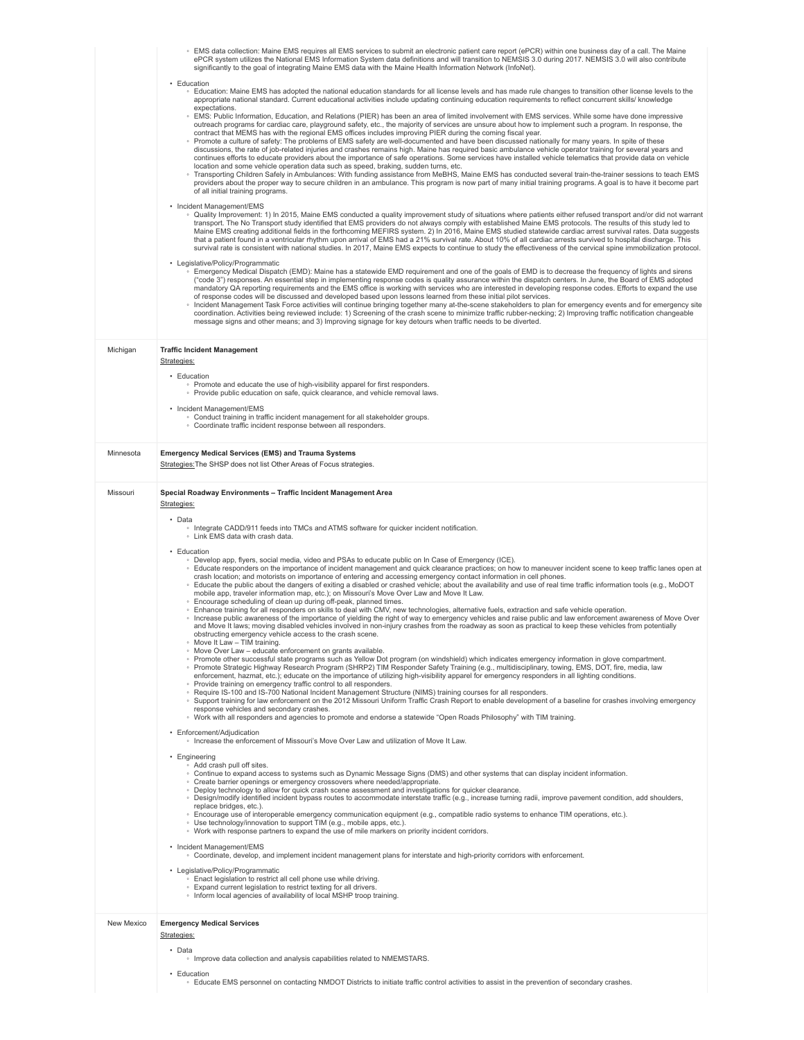|            | ∘ EMS data collection: Maine EMS requires all EMS services to submit an electronic patient care report (ePCR) within one business day of a call. The Maine<br>ePCR system utilizes the National EMS Information System data definitions and will transition to NEMSIS 3.0 during 2017. NEMSIS 3.0 will also contribute<br>significantly to the goal of integrating Maine EMS data with the Maine Health Information Network (InfoNet).                                                                                                                                                                                                                                                                                                                                                                                                                                                                                                                                                                                                                                                                                                                                                                                                                                                    |
|------------|-------------------------------------------------------------------------------------------------------------------------------------------------------------------------------------------------------------------------------------------------------------------------------------------------------------------------------------------------------------------------------------------------------------------------------------------------------------------------------------------------------------------------------------------------------------------------------------------------------------------------------------------------------------------------------------------------------------------------------------------------------------------------------------------------------------------------------------------------------------------------------------------------------------------------------------------------------------------------------------------------------------------------------------------------------------------------------------------------------------------------------------------------------------------------------------------------------------------------------------------------------------------------------------------|
|            | • Education<br>○ Education: Maine EMS has adopted the national education standards for all license levels and has made rule changes to transition other license levels to the<br>appropriate national standard. Current educational activities include updating continuing education requirements to reflect concurrent skills/ knowledge<br>expectations.                                                                                                                                                                                                                                                                                                                                                                                                                                                                                                                                                                                                                                                                                                                                                                                                                                                                                                                                |
|            | EMS: Public Information, Education, and Relations (PIER) has been an area of limited involvement with EMS services. While some have done impressive<br>outreach programs for cardiac care, playground safety, etc., the majority of services are unsure about how to implement such a program. In response, the<br>contract that MEMS has with the regional EMS offices includes improving PIER during the coming fiscal year.<br>∘ Promote a culture of safety: The problems of EMS safety are well-documented and have been discussed nationally for many years. In spite of these<br>discussions, the rate of job-related injuries and crashes remains high. Maine has required basic ambulance vehicle operator training for several years and<br>continues efforts to educate providers about the importance of safe operations. Some services have installed vehicle telematics that provide data on vehicle                                                                                                                                                                                                                                                                                                                                                                        |
|            | location and some vehicle operation data such as speed, braking, sudden turns, etc.<br>Transporting Children Safely in Ambulances: With funding assistance from MeBHS, Maine EMS has conducted several train-the-trainer sessions to teach EMS<br>providers about the proper way to secure children in an ambulance. This program is now part of many initial training programs. A goal is to have it become part<br>of all initial training programs.                                                                                                                                                                                                                                                                                                                                                                                                                                                                                                                                                                                                                                                                                                                                                                                                                                    |
|            | • Incident Management/EMS<br>○ Quality Improvement: 1) In 2015, Maine EMS conducted a quality improvement study of situations where patients either refused transport and/or did not warrant<br>transport. The No Transport study identified that EMS providers do not always comply with established Maine EMS protocols. The results of this study led to<br>Maine EMS creating additional fields in the forthcoming MEFIRS system. 2) In 2016, Maine EMS studied statewide cardiac arrest survival rates. Data suggests<br>that a patient found in a ventricular rhythm upon arrival of EMS had a 21% survival rate. About 10% of all cardiac arrests survived to hospital discharge. This<br>survival rate is consistent with national studies. In 2017, Maine EMS expects to continue to study the effectiveness of the cervical spine immobilization protocol.                                                                                                                                                                                                                                                                                                                                                                                                                      |
|            | • Legislative/Policy/Programmatic<br>Emergency Medical Dispatch (EMD): Maine has a statewide EMD requirement and one of the goals of EMD is to decrease the frequency of lights and sirens<br>("code 3") responses. An essential step in implementing response codes is quality assurance within the dispatch centers. In June, the Board of EMS adopted<br>mandatory QA reporting requirements and the EMS office is working with services who are interested in developing response codes. Efforts to expand the use<br>of response codes will be discussed and developed based upon lessons learned from these initial pilot services.<br>Incident Management Task Force activities will continue bringing together many at-the-scene stakeholders to plan for emergency events and for emergency site<br>coordination. Activities being reviewed include: 1) Screening of the crash scene to minimize traffic rubber-necking; 2) Improving traffic notification changeable<br>message signs and other means; and 3) Improving signage for key detours when traffic needs to be diverted.                                                                                                                                                                                              |
| Michigan   | <b>Traffic Incident Management</b><br>Strategies:                                                                                                                                                                                                                                                                                                                                                                                                                                                                                                                                                                                                                                                                                                                                                                                                                                                                                                                                                                                                                                                                                                                                                                                                                                         |
|            | • Education<br>• Promote and educate the use of high-visibility apparel for first responders.<br>• Provide public education on safe, quick clearance, and vehicle removal laws.                                                                                                                                                                                                                                                                                                                                                                                                                                                                                                                                                                                                                                                                                                                                                                                                                                                                                                                                                                                                                                                                                                           |
|            | • Incident Management/EMS<br>• Conduct training in traffic incident management for all stakeholder groups.<br>· Coordinate traffic incident response between all responders.                                                                                                                                                                                                                                                                                                                                                                                                                                                                                                                                                                                                                                                                                                                                                                                                                                                                                                                                                                                                                                                                                                              |
| Minnesota  | <b>Emergency Medical Services (EMS) and Trauma Systems</b><br>Strategies: The SHSP does not list Other Areas of Focus strategies.                                                                                                                                                                                                                                                                                                                                                                                                                                                                                                                                                                                                                                                                                                                                                                                                                                                                                                                                                                                                                                                                                                                                                         |
| Missouri   | Special Roadway Environments - Traffic Incident Management Area<br>Strategies:                                                                                                                                                                                                                                                                                                                                                                                                                                                                                                                                                                                                                                                                                                                                                                                                                                                                                                                                                                                                                                                                                                                                                                                                            |
|            |                                                                                                                                                                                                                                                                                                                                                                                                                                                                                                                                                                                                                                                                                                                                                                                                                                                                                                                                                                                                                                                                                                                                                                                                                                                                                           |
|            | • Data<br>• Integrate CADD/911 feeds into TMCs and ATMS software for quicker incident notification.<br>• Link EMS data with crash data.                                                                                                                                                                                                                                                                                                                                                                                                                                                                                                                                                                                                                                                                                                                                                                                                                                                                                                                                                                                                                                                                                                                                                   |
|            | • Education<br>• Develop app, flyers, social media, video and PSAs to educate public on In Case of Emergency (ICE).<br>∘ Educate responders on the importance of incident management and quick clearance practices; on how to maneuver incident scene to keep traffic lanes open at<br>crash location; and motorists on importance of entering and accessing emergency contact information in cell phones.<br>∘ Educate the public about the dangers of exiting a disabled or crashed vehicle; about the availability and use of real time traffic information tools (e.g., MoDOT<br>mobile app, traveler information map, etc.); on Missouri's Move Over Law and Move It Law.<br>. Encourage scheduling of clean up during off-peak, planned times.<br>∘ Enhance training for all responders on skills to deal with CMV, new technologies, alternative fuels, extraction and safe vehicle operation.<br>Increase public awareness of the importance of yielding the right of way to emergency vehicles and raise public and law enforcement awareness of Move Over<br>and Move It laws; moving disabled vehicles involved in non-injury crashes from the roadway as soon as practical to keep these vehicles from potentially<br>obstructing emergency vehicle access to the crash scene |
|            | . Move It Law - TIM training.<br>. Move Over Law - educate enforcement on grants available.<br>∘ Promote other successful state programs such as Yellow Dot program (on windshield) which indicates emergency information in glove compartment.                                                                                                                                                                                                                                                                                                                                                                                                                                                                                                                                                                                                                                                                                                                                                                                                                                                                                                                                                                                                                                           |
|            | • Promote Strategic Highway Research Program (SHRP2) TIM Responder Safety Training (e.g., multidisciplinary, towing, EMS, DOT, fire, media, law<br>enforcement, hazmat, etc.); educate on the importance of utilizing high-visibility apparel for emergency responders in all lighting conditions.<br>• Provide training on emergency traffic control to all responders.<br>○ Require IS-100 and IS-700 National Incident Management Structure (NIMS) training courses for all responders.<br>○ Support training for law enforcement on the 2012 Missouri Uniform Traffic Crash Report to enable development of a baseline for crashes involving emergency<br>response vehicles and secondary crashes.                                                                                                                                                                                                                                                                                                                                                                                                                                                                                                                                                                                    |
|            | . Work with all responders and agencies to promote and endorse a statewide "Open Roads Philosophy" with TIM training.<br>• Enforcement/Adjudication<br>∘ Increase the enforcement of Missouri's Move Over Law and utilization of Move It Law.                                                                                                                                                                                                                                                                                                                                                                                                                                                                                                                                                                                                                                                                                                                                                                                                                                                                                                                                                                                                                                             |
|            | • Engineering<br>• Add crash pull off sites.<br>∘ Continue to expand access to systems such as Dynamic Message Signs (DMS) and other systems that can display incident information.<br>• Create barrier openings or emergency crossovers where needed/appropriate.<br>. Deploy technology to allow for quick crash scene assessment and investigations for quicker clearance.                                                                                                                                                                                                                                                                                                                                                                                                                                                                                                                                                                                                                                                                                                                                                                                                                                                                                                             |
|            | ○ Design/modify identified incident bypass routes to accommodate interstate traffic (e.g., increase turning radii, improve pavement condition, add shoulders,<br>replace bridges, etc.).<br>· Encourage use of interoperable emergency communication equipment (e.g., compatible radio systems to enhance TIM operations, etc.).<br>• Use technology/innovation to support TIM (e.g., mobile apps, etc.).<br>. Work with response partners to expand the use of mile markers on priority incident corridors.                                                                                                                                                                                                                                                                                                                                                                                                                                                                                                                                                                                                                                                                                                                                                                              |
|            | • Incident Management/EMS<br>• Coordinate, develop, and implement incident management plans for interstate and high-priority corridors with enforcement.                                                                                                                                                                                                                                                                                                                                                                                                                                                                                                                                                                                                                                                                                                                                                                                                                                                                                                                                                                                                                                                                                                                                  |
|            | • Legislative/Policy/Programmatic<br>. Enact legislation to restrict all cell phone use while driving.<br>• Expand current legislation to restrict texting for all drivers.<br>. Inform local agencies of availability of local MSHP troop training.                                                                                                                                                                                                                                                                                                                                                                                                                                                                                                                                                                                                                                                                                                                                                                                                                                                                                                                                                                                                                                      |
| New Mexico | <b>Emergency Medical Services</b><br>Strategies:                                                                                                                                                                                                                                                                                                                                                                                                                                                                                                                                                                                                                                                                                                                                                                                                                                                                                                                                                                                                                                                                                                                                                                                                                                          |
|            | • Data<br>• Improve data collection and analysis capabilities related to NMEMSTARS.                                                                                                                                                                                                                                                                                                                                                                                                                                                                                                                                                                                                                                                                                                                                                                                                                                                                                                                                                                                                                                                                                                                                                                                                       |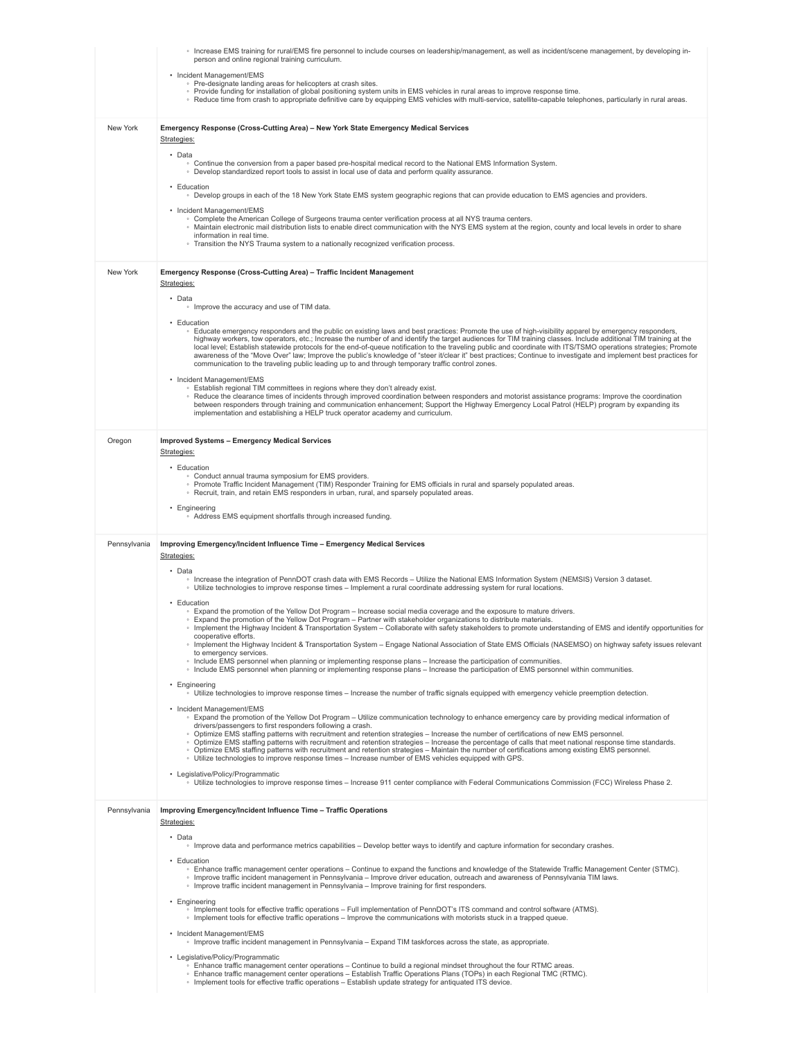|              | ∘ Increase EMS training for rural/EMS fire personnel to include courses on leadership/management, as well as incident/scene management, by developing in-<br>person and online regional training curriculum.                                                                                                                                                                                                                                                                                                                                                                                                |
|--------------|-------------------------------------------------------------------------------------------------------------------------------------------------------------------------------------------------------------------------------------------------------------------------------------------------------------------------------------------------------------------------------------------------------------------------------------------------------------------------------------------------------------------------------------------------------------------------------------------------------------|
|              | • Incident Management/EMS                                                                                                                                                                                                                                                                                                                                                                                                                                                                                                                                                                                   |
|              | • Pre-designate landing areas for helicopters at crash sites.<br>∘ Provide funding for installation of global positioning system units in EMS vehicles in rural areas to improve response time.                                                                                                                                                                                                                                                                                                                                                                                                             |
|              | ∘ Reduce time from crash to appropriate definitive care by equipping EMS vehicles with multi-service, satellite-capable telephones, particularly in rural areas.                                                                                                                                                                                                                                                                                                                                                                                                                                            |
| New York     | Emergency Response (Cross-Cutting Area) - New York State Emergency Medical Services<br>Strategies:                                                                                                                                                                                                                                                                                                                                                                                                                                                                                                          |
|              | • Data<br>○ Continue the conversion from a paper based pre-hospital medical record to the National EMS Information System.                                                                                                                                                                                                                                                                                                                                                                                                                                                                                  |
|              | . Develop standardized report tools to assist in local use of data and perform quality assurance.<br>• Education                                                                                                                                                                                                                                                                                                                                                                                                                                                                                            |
|              | ○ Develop groups in each of the 18 New York State EMS system geographic regions that can provide education to EMS agencies and providers.<br>• Incident Management/EMS                                                                                                                                                                                                                                                                                                                                                                                                                                      |
|              | . Complete the American College of Surgeons trauma center verification process at all NYS trauma centers.<br>∘ Maintain electronic mail distribution lists to enable direct communication with the NYS EMS system at the region, county and local levels in order to share                                                                                                                                                                                                                                                                                                                                  |
|              | information in real time.<br>• Transition the NYS Trauma system to a nationally recognized verification process.                                                                                                                                                                                                                                                                                                                                                                                                                                                                                            |
| New York     | Emergency Response (Cross-Cutting Area) - Traffic Incident Management                                                                                                                                                                                                                                                                                                                                                                                                                                                                                                                                       |
|              | Strategies:<br>• Data                                                                                                                                                                                                                                                                                                                                                                                                                                                                                                                                                                                       |
|              | • Improve the accuracy and use of TIM data.                                                                                                                                                                                                                                                                                                                                                                                                                                                                                                                                                                 |
|              | • Education<br>Educate emergency responders and the public on existing laws and best practices: Promote the use of high-visibility apparel by emergency responders,                                                                                                                                                                                                                                                                                                                                                                                                                                         |
|              | highway workers, tow operators, etc.; Increase the number of and identify the target audiences for TIM training classes. Include additional TIM training at the<br>local level; Establish statewide protocols for the end-of-queue notification to the traveling public and coordinate with ITS/TSMO operations strategies; Promote<br>awareness of the "Move Over" law; Improve the public's knowledge of "steer it/clear it" best practices; Continue to investigate and implement best practices for<br>communication to the traveling public leading up to and through temporary traffic control zones. |
|              | • Incident Management/EMS<br>◦ Establish regional TIM committees in regions where they don't already exist.                                                                                                                                                                                                                                                                                                                                                                                                                                                                                                 |
|              | ∘ Reduce the clearance times of incidents through improved coordination between responders and motorist assistance programs: Improve the coordination<br>between responders through training and communication enhancement; Support the Highway Emergency Local Patrol (HELP) program by expanding its                                                                                                                                                                                                                                                                                                      |
|              | implementation and establishing a HELP truck operator academy and curriculum.                                                                                                                                                                                                                                                                                                                                                                                                                                                                                                                               |
| Oregon       | <b>Improved Systems - Emergency Medical Services</b><br>Strategies:                                                                                                                                                                                                                                                                                                                                                                                                                                                                                                                                         |
|              | • Education                                                                                                                                                                                                                                                                                                                                                                                                                                                                                                                                                                                                 |
|              | • Conduct annual trauma symposium for EMS providers.<br>∘ Promote Traffic Incident Management (TIM) Responder Training for EMS officials in rural and sparsely populated areas.                                                                                                                                                                                                                                                                                                                                                                                                                             |
|              | ◦ Recruit, train, and retain EMS responders in urban, rural, and sparsely populated areas.<br>• Engineering                                                                                                                                                                                                                                                                                                                                                                                                                                                                                                 |
|              | • Address EMS equipment shortfalls through increased funding.                                                                                                                                                                                                                                                                                                                                                                                                                                                                                                                                               |
|              |                                                                                                                                                                                                                                                                                                                                                                                                                                                                                                                                                                                                             |
| Pennsylvania | Improving Emergency/Incident Influence Time - Emergency Medical Services<br>Strategies:                                                                                                                                                                                                                                                                                                                                                                                                                                                                                                                     |
|              | • Data                                                                                                                                                                                                                                                                                                                                                                                                                                                                                                                                                                                                      |
|              | Increase the integration of PennDOT crash data with EMS Records - Utilize the National EMS Information System (NEMSIS) Version 3 dataset.<br>Utilize technologies to improve response times - Implement a rural coordinate addressing system for rural locations.                                                                                                                                                                                                                                                                                                                                           |
|              | • Education<br>∘ Expand the promotion of the Yellow Dot Program – Increase social media coverage and the exposure to mature drivers.                                                                                                                                                                                                                                                                                                                                                                                                                                                                        |
|              | ∘ Expand the promotion of the Yellow Dot Program – Partner with stakeholder organizations to distribute materials.<br>Implement the Highway Incident & Transportation System - Collaborate with safety stakeholders to promote understanding of EMS and identify opportunities for                                                                                                                                                                                                                                                                                                                          |
|              | cooperative efforts.<br>Implement the Highway Incident & Transportation System - Engage National Association of State EMS Officials (NASEMSO) on highway safety issues relevant                                                                                                                                                                                                                                                                                                                                                                                                                             |
|              | to emergency services.<br>Include EMS personnel when planning or implementing response plans - Increase the participation of communities.<br>Include EMS personnel when planning or implementing response plans – Increase the participation of EMS personnel within communities.                                                                                                                                                                                                                                                                                                                           |
|              | • Engineering<br>∘ Utilize technologies to improve response times – Increase the number of traffic signals equipped with emergency vehicle preemption detection.                                                                                                                                                                                                                                                                                                                                                                                                                                            |
|              | • Incident Management/EMS<br>∘ Expand the promotion of the Yellow Dot Program – Utilize communication technology to enhance emergency care by providing medical information of                                                                                                                                                                                                                                                                                                                                                                                                                              |
|              | drivers/passengers to first responders following a crash.<br>· Optimize EMS staffing patterns with recruitment and retention strategies - Increase the number of certifications of new EMS personnel.                                                                                                                                                                                                                                                                                                                                                                                                       |
|              | . Optimize EMS staffing patterns with recruitment and retention strategies - Increase the percentage of calls that meet national response time standards.<br>○ Optimize EMS staffing patterns with recruitment and retention strategies - Maintain the number of certifications among existing EMS personnel.<br>Utilize technologies to improve response times - Increase number of EMS vehicles equipped with GPS.                                                                                                                                                                                        |
|              | • Legislative/Policy/Programmatic<br>∘ Utilize technologies to improve response times – Increase 911 center compliance with Federal Communications Commission (FCC) Wireless Phase 2.                                                                                                                                                                                                                                                                                                                                                                                                                       |
| Pennsylvania | Improving Emergency/Incident Influence Time - Traffic Operations                                                                                                                                                                                                                                                                                                                                                                                                                                                                                                                                            |
|              | Strategies:                                                                                                                                                                                                                                                                                                                                                                                                                                                                                                                                                                                                 |
|              | • Data<br>Improve data and performance metrics capabilities - Develop better ways to identify and capture information for secondary crashes.                                                                                                                                                                                                                                                                                                                                                                                                                                                                |
|              | • Education<br>∘ Enhance traffic management center operations – Continue to expand the functions and knowledge of the Statewide Traffic Management Center (STMC).<br>o Improve traffic incident management in Pennsylvania - Improve driver education, outreach and awareness of Pennsylvania TIM laws.                                                                                                                                                                                                                                                                                                     |
|              | Improve traffic incident management in Pennsylvania - Improve training for first responders.                                                                                                                                                                                                                                                                                                                                                                                                                                                                                                                |
|              | • Engineering<br>· Implement tools for effective traffic operations - Full implementation of PennDOT's ITS command and control software (ATMS).<br>. Implement tools for effective traffic operations – Improve the communications with motorists stuck in a trapped queue.                                                                                                                                                                                                                                                                                                                                 |
|              | • Incident Management/EMS<br>Improve traffic incident management in Pennsylvania - Expand TIM taskforces across the state, as appropriate.                                                                                                                                                                                                                                                                                                                                                                                                                                                                  |
|              | • Legislative/Policy/Programmatic<br>∘ Enhance traffic management center operations – Continue to build a regional mindset throughout the four RTMC areas.                                                                                                                                                                                                                                                                                                                                                                                                                                                  |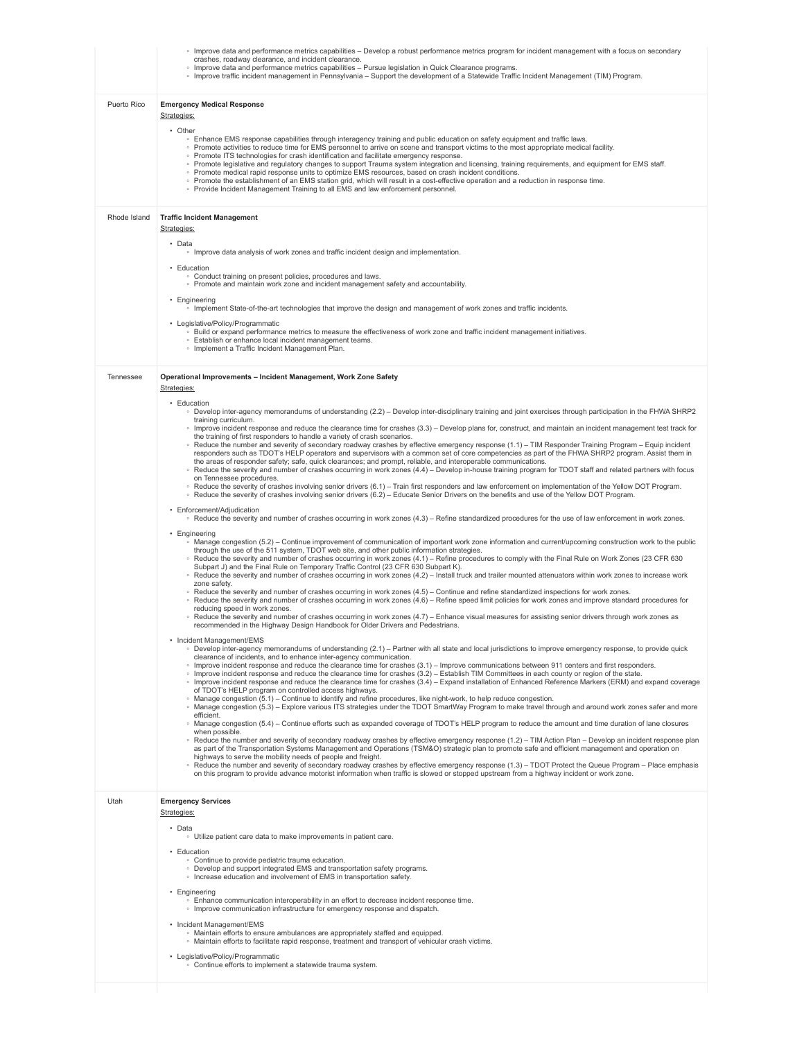|              | ∘ Improve data and performance metrics capabilities – Develop a robust performance metrics program for incident management with a focus on secondary<br>crashes, roadway clearance, and incident clearance.<br>Improve data and performance metrics capabilities - Pursue legislation in Quick Clearance programs.<br>∘ Improve traffic incident management in Pennsylvania – Support the development of a Statewide Traffic Incident Management (TIM) Program.                                                                                                                                                                                                                                                                                                                                                                                                      |
|--------------|----------------------------------------------------------------------------------------------------------------------------------------------------------------------------------------------------------------------------------------------------------------------------------------------------------------------------------------------------------------------------------------------------------------------------------------------------------------------------------------------------------------------------------------------------------------------------------------------------------------------------------------------------------------------------------------------------------------------------------------------------------------------------------------------------------------------------------------------------------------------|
| Puerto Rico  | <b>Emergency Medical Response</b><br>Strategies:<br>• Other<br>. Enhance EMS response capabilities through interagency training and public education on safety equipment and traffic laws.                                                                                                                                                                                                                                                                                                                                                                                                                                                                                                                                                                                                                                                                           |
|              | • Promote activities to reduce time for EMS personnel to arrive on scene and transport victims to the most appropriate medical facility.<br>• Promote ITS technologies for crash identification and facilitate emergency response.<br>∘ Promote legislative and regulatory changes to support Trauma system integration and licensing, training requirements, and equipment for EMS staff.<br>• Promote medical rapid response units to optimize EMS resources, based on crash incident conditions.<br>○ Promote the establishment of an EMS station grid, which will result in a cost-effective operation and a reduction in response time.<br>◦ Provide Incident Management Training to all EMS and law enforcement personnel.                                                                                                                                     |
| Rhode Island | <b>Traffic Incident Management</b><br>Strategies:                                                                                                                                                                                                                                                                                                                                                                                                                                                                                                                                                                                                                                                                                                                                                                                                                    |
|              | • Data<br>· Improve data analysis of work zones and traffic incident design and implementation.<br>• Education                                                                                                                                                                                                                                                                                                                                                                                                                                                                                                                                                                                                                                                                                                                                                       |
|              | • Conduct training on present policies, procedures and laws.<br>• Promote and maintain work zone and incident management safety and accountability.                                                                                                                                                                                                                                                                                                                                                                                                                                                                                                                                                                                                                                                                                                                  |
|              | • Engineering<br>Implement State-of-the-art technologies that improve the design and management of work zones and traffic incidents.<br>• Legislative/Policy/Programmatic                                                                                                                                                                                                                                                                                                                                                                                                                                                                                                                                                                                                                                                                                            |
|              | ○ Build or expand performance metrics to measure the effectiveness of work zone and traffic incident management initiatives.<br>· Establish or enhance local incident management teams.<br>• Implement a Traffic Incident Management Plan.                                                                                                                                                                                                                                                                                                                                                                                                                                                                                                                                                                                                                           |
| Tennessee    | Operational Improvements - Incident Management, Work Zone Safety<br>Strategies:                                                                                                                                                                                                                                                                                                                                                                                                                                                                                                                                                                                                                                                                                                                                                                                      |
|              | • Education<br>. Develop inter-agency memorandums of understanding (2.2) – Develop inter-disciplinary training and joint exercises through participation in the FHWA SHRP2<br>training curriculum.                                                                                                                                                                                                                                                                                                                                                                                                                                                                                                                                                                                                                                                                   |
|              | Improve incident response and reduce the clearance time for crashes (3.3) – Develop plans for, construct, and maintain an incident management test track for<br>the training of first responders to handle a variety of crash scenarios.<br>∘ Reduce the number and severity of secondary roadway crashes by effective emergency response (1.1) - TIM Responder Training Program - Equip incident<br>responders such as TDOT's HELP operators and supervisors with a common set of core competencies as part of the FHWA SHRP2 program. Assist them in<br>the areas of responder safety; safe, quick clearances; and prompt, reliable, and interoperable communications.<br>∘ Reduce the severity and number of crashes occurring in work zones (4.4) – Develop in-house training program for TDOT staff and related partners with focus<br>on Tennessee procedures. |
|              | ∘ Reduce the severity of crashes involving senior drivers (6.1) – Train first responders and law enforcement on implementation of the Yellow DOT Program.<br>∘ Reduce the severity of crashes involving senior drivers (6.2) – Educate Senior Drivers on the benefits and use of the Yellow DOT Program.<br>• Enforcement/Adjudication                                                                                                                                                                                                                                                                                                                                                                                                                                                                                                                               |
|              | ∘ Reduce the severity and number of crashes occurring in work zones (4.3) – Refine standardized procedures for the use of law enforcement in work zones.<br>• Engineering                                                                                                                                                                                                                                                                                                                                                                                                                                                                                                                                                                                                                                                                                            |
|              | Manage congestion (5.2) – Continue improvement of communication of important work zone information and current/upcoming construction work to the public<br>through the use of the 511 system, TDOT web site, and other public information strategies.<br>∘ Reduce the severity and number of crashes occurring in work zones (4.1) - Refine procedures to comply with the Final Rule on Work Zones (23 CFR 630<br>Subpart J) and the Final Rule on Temporary Traffic Control (23 CFR 630 Subpart K).<br>∘ Reduce the severity and number of crashes occurring in work zones (4.2) – Install truck and trailer mounted attenuators within work zones to increase work<br>zone safety.                                                                                                                                                                                 |
|              | ∘ Reduce the severity and number of crashes occurring in work zones (4.5) – Continue and refine standardized inspections for work zones.<br>∘ Reduce the severity and number of crashes occurring in work zones (4.6) – Refine speed limit policies for work zones and improve standard procedures for<br>reducing speed in work zones.<br>∘ Reduce the severity and number of crashes occurring in work zones (4.7) – Enhance visual measures for assisting senior drivers through work zones as<br>recommended in the Highway Design Handbook for Older Drivers and Pedestrians.                                                                                                                                                                                                                                                                                   |
|              | Incident Management/EMS<br>· Develop inter-agency memorandums of understanding (2.1) - Partner with all state and local jurisdictions to improve emergency response, to provide quick<br>clearance of incidents, and to enhance inter-agency communication.                                                                                                                                                                                                                                                                                                                                                                                                                                                                                                                                                                                                          |
|              | Improve incident response and reduce the clearance time for crashes (3.1) – Improve communications between 911 centers and first responders.<br>∘ Improve incident response and reduce the clearance time for crashes (3.2) – Establish TIM Committees in each county or region of the state.<br>Improve incident response and reduce the clearance time for crashes (3.4) - Expand installation of Enhanced Reference Markers (ERM) and expand coverage<br>of TDOT's HELP program on controlled access highways.<br>Manage congestion (5.1) - Continue to identify and refine procedures, like night-work, to help reduce congestion.                                                                                                                                                                                                                               |
|              | ∘ Manage congestion (5.3) – Explore various ITS strategies under the TDOT SmartWay Program to make travel through and around work zones safer and more<br>efficient.<br>∘ Manage congestion (5.4) – Continue efforts such as expanded coverage of TDOT's HELP program to reduce the amount and time duration of lane closures                                                                                                                                                                                                                                                                                                                                                                                                                                                                                                                                        |
|              | when possible.<br>∘ Reduce the number and severity of secondary roadway crashes by effective emergency response (1.2) - TIM Action Plan - Develop an incident response plan<br>as part of the Transportation Systems Management and Operations (TSM&O) strategic plan to promote safe and efficient management and operation on<br>highways to serve the mobility needs of people and freight.<br>∘ Reduce the number and severity of secondary roadway crashes by effective emergency response (1.3) – TDOT Protect the Queue Program – Place emphasis<br>on this program to provide advance motorist information when traffic is slowed or stopped upstream from a highway incident or work zone.                                                                                                                                                                  |
| Utah         | <b>Emergency Services</b><br>Strategies:                                                                                                                                                                                                                                                                                                                                                                                                                                                                                                                                                                                                                                                                                                                                                                                                                             |
|              | • Data<br>• Utilize patient care data to make improvements in patient care.                                                                                                                                                                                                                                                                                                                                                                                                                                                                                                                                                                                                                                                                                                                                                                                          |
|              | • Education<br>• Continue to provide pediatric trauma education.<br>• Develop and support integrated EMS and transportation safety programs.<br>• Increase education and involvement of EMS in transportation safety.                                                                                                                                                                                                                                                                                                                                                                                                                                                                                                                                                                                                                                                |
|              | • Engineering<br>. Enhance communication interoperability in an effort to decrease incident response time.<br>• Improve communication infrastructure for emergency response and dispatch.                                                                                                                                                                                                                                                                                                                                                                                                                                                                                                                                                                                                                                                                            |
|              | • Incident Management/EMS<br>. Maintain efforts to ensure ambulances are appropriately staffed and equipped.<br>. Maintain efforts to facilitate rapid response, treatment and transport of vehicular crash victims.                                                                                                                                                                                                                                                                                                                                                                                                                                                                                                                                                                                                                                                 |
|              | • Legislative/Policy/Programmatic<br>• Continue efforts to implement a statewide trauma system.                                                                                                                                                                                                                                                                                                                                                                                                                                                                                                                                                                                                                                                                                                                                                                      |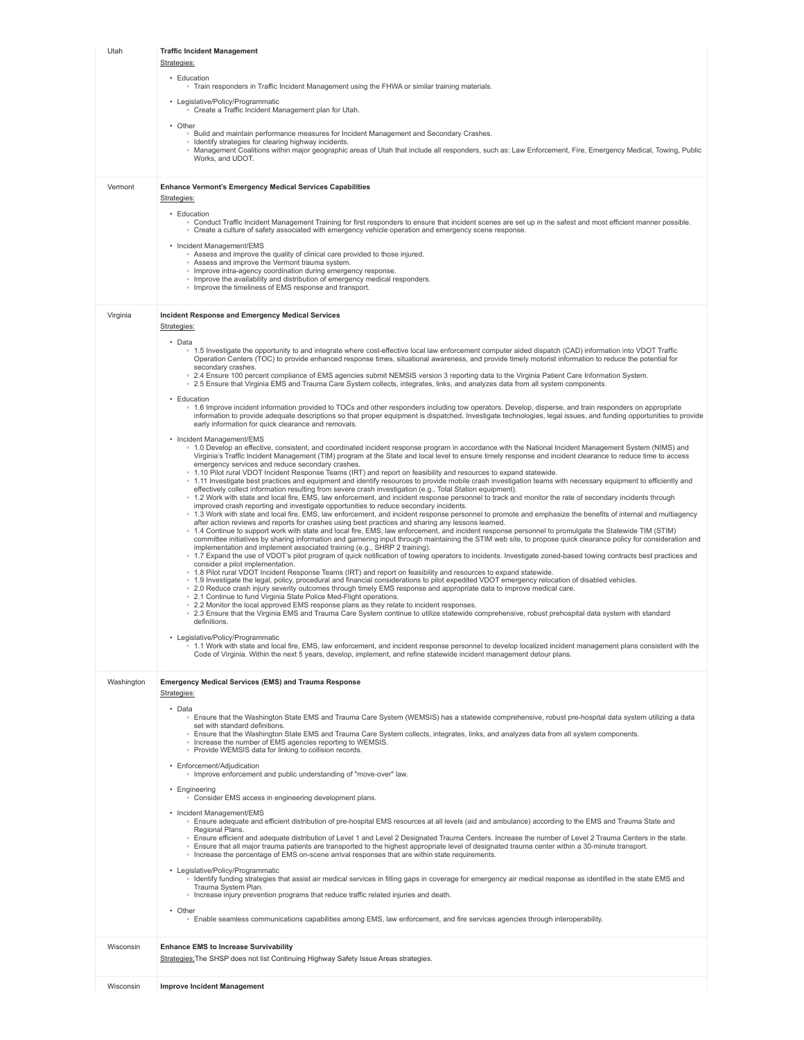| Utah       | <b>Traffic Incident Management</b>                                                                                                                                                                                                                                                                                                                                                                 |
|------------|----------------------------------------------------------------------------------------------------------------------------------------------------------------------------------------------------------------------------------------------------------------------------------------------------------------------------------------------------------------------------------------------------|
|            | Strategies:<br>• Education                                                                                                                                                                                                                                                                                                                                                                         |
|            | . Train responders in Traffic Incident Management using the FHWA or similar training materials.                                                                                                                                                                                                                                                                                                    |
|            | • Legislative/Policy/Programmatic<br>• Create a Traffic Incident Management plan for Utah.                                                                                                                                                                                                                                                                                                         |
|            | • Other<br>○ Build and maintain performance measures for Incident Management and Secondary Crashes.                                                                                                                                                                                                                                                                                                |
|            | · Identify strategies for clearing highway incidents.<br>○ Management Coalitions within major geographic areas of Utah that include all responders, such as: Law Enforcement, Fire, Emergency Medical, Towing, Public                                                                                                                                                                              |
|            | Works, and UDOT.                                                                                                                                                                                                                                                                                                                                                                                   |
| Vermont    | <b>Enhance Vermont's Emergency Medical Services Capabilities</b>                                                                                                                                                                                                                                                                                                                                   |
|            | Strategies:                                                                                                                                                                                                                                                                                                                                                                                        |
|            | • Education<br>. Conduct Traffic Incident Management Training for first responders to ensure that incident scenes are set up in the safest and most efficient manner possible.                                                                                                                                                                                                                     |
|            | . Create a culture of safety associated with emergency vehicle operation and emergency scene response.<br>• Incident Management/EMS                                                                                                                                                                                                                                                                |
|            | • Assess and improve the quality of clinical care provided to those injured.<br>• Assess and improve the Vermont trauma system.                                                                                                                                                                                                                                                                    |
|            | · Improve intra-agency coordination during emergency response.<br>• Improve the availability and distribution of emergency medical responders.                                                                                                                                                                                                                                                     |
|            | • Improve the timeliness of EMS response and transport.                                                                                                                                                                                                                                                                                                                                            |
| Virginia   | Incident Response and Emergency Medical Services                                                                                                                                                                                                                                                                                                                                                   |
|            | Strategies:<br>• Data                                                                                                                                                                                                                                                                                                                                                                              |
|            | ∘ 1.5 Investigate the opportunity to and integrate where cost-effective local law enforcement computer aided dispatch (CAD) information into VDOT Traffic<br>Operation Centers (TOC) to provide enhanced response times, situational awareness, and provide timely motorist information to reduce the potential for                                                                                |
|            | secondary crashes.<br>○ 2.4 Ensure 100 percent compliance of EMS agencies submit NEMSIS version 3 reporting data to the Virginia Patient Care Information System.                                                                                                                                                                                                                                  |
|            | ○ 2.5 Ensure that Virginia EMS and Trauma Care System collects, integrates, links, and analyzes data from all system components.                                                                                                                                                                                                                                                                   |
|            | • Education<br>∘ 1.6 Improve incident information provided to TOCs and other responders including tow operators. Develop, disperse, and train responders on appropriate<br>information to provide adequate descriptions so that proper equipment is dispatched. Investigate technologies, legal issues, and funding opportunities to provide                                                       |
|            | early information for quick clearance and removals.                                                                                                                                                                                                                                                                                                                                                |
|            | • Incident Management/EMS<br>○ 1.0 Develop an effective, consistent, and coordinated incident response program in accordance with the National Incident Management System (NIMS) and                                                                                                                                                                                                               |
|            | Virginia's Traffic Incident Management (TIM) program at the State and local level to ensure timely response and incident clearance to reduce time to access<br>emergency services and reduce secondary crashes.                                                                                                                                                                                    |
|            | ∘ 1.10 Pilot rural VDOT Incident Response Teams (IRT) and report on feasibility and resources to expand statewide.<br>∘ 1.11 Investigate best practices and equipment and identify resources to provide mobile crash investigation teams with necessary equipment to efficiently and<br>effectively collect information resulting from severe crash investigation (e.g., Total Station equipment). |
|            | ∘ 1.2 Work with state and local fire, EMS, law enforcement, and incident response personnel to track and monitor the rate of secondary incidents through<br>improved crash reporting and investigate opportunities to reduce secondary incidents.                                                                                                                                                  |
|            | ∘ 1.3 Work with state and local fire, EMS, law enforcement, and incident response personnel to promote and emphasize the benefits of internal and multiagency<br>after action reviews and reports for crashes using best practices and sharing any lessons learned.                                                                                                                                |
|            | ∘ 1.4 Continue to support work with state and local fire, EMS, law enforcement, and incident response personnel to promulgate the Statewide TIM (STIM)<br>committee initiatives by sharing information and garnering input through maintaining the STIM web site, to propose quick clearance policy for consideration and                                                                          |
|            | implementation and implement associated training (e.g., SHRP 2 training).<br>∘ 1.7 Expand the use of VDOT's pilot program of quick notification of towing operators to incidents. Investigate zoned-based towing contracts best practices and                                                                                                                                                      |
|            | consider a pilot implementation.<br>○ 1.8 Pilot rural VDOT Incident Response Teams (IRT) and report on feasibility and resources to expand statewide.<br>∘ 1.9 Investigate the legal, policy, procedural and financial considerations to pilot expedited VDOT emergency relocation of disabled vehicles.                                                                                           |
|            | ○ 2.0 Reduce crash injury severity outcomes through timely EMS response and appropriate data to improve medical care.<br>• 2.1 Continue to fund Virginia State Police Med-Flight operations.                                                                                                                                                                                                       |
|            | ○ 2.2 Monitor the local approved EMS response plans as they relate to incident responses.<br>○ 2.3 Ensure that the Virginia EMS and Trauma Care System continue to utilize statewide comprehensive, robust prehospital data system with standard                                                                                                                                                   |
|            | definitions.                                                                                                                                                                                                                                                                                                                                                                                       |
|            | Legislative/Policy/Programmatic<br>∘ 1.1 Work with state and local fire. EMS, law enforcement, and incident response personnel to develop localized incident management plans consistent with the<br>Code of Virginia. Within the next 5 years, develop, implement, and refine statewide incident management detour plans.                                                                         |
|            |                                                                                                                                                                                                                                                                                                                                                                                                    |
| Washington | <b>Emergency Medical Services (EMS) and Trauma Response</b><br>Strategies:                                                                                                                                                                                                                                                                                                                         |
|            | • Data                                                                                                                                                                                                                                                                                                                                                                                             |
|            | ∘ Ensure that the Washington State EMS and Trauma Care System (WEMSIS) has a statewide comprehensive, robust pre-hospital data system utilizing a data<br>set with standard definitions.                                                                                                                                                                                                           |
|            | . Ensure that the Washington State EMS and Trauma Care System collects, integrates, links, and analyzes data from all system components.<br>• Increase the number of EMS agencies reporting to WEMSIS.                                                                                                                                                                                             |
|            | • Provide WEMSIS data for linking to collision records.<br>• Enforcement/Adjudication                                                                                                                                                                                                                                                                                                              |
|            | · Improve enforcement and public understanding of "move-over" law.                                                                                                                                                                                                                                                                                                                                 |
|            | • Engineering<br>• Consider EMS access in engineering development plans.                                                                                                                                                                                                                                                                                                                           |
|            | • Incident Management/EMS<br>∘ Ensure adequate and efficient distribution of pre-hospital EMS resources at all levels (aid and ambulance) according to the EMS and Trauma State and                                                                                                                                                                                                                |
|            | Regional Plans.<br>∘ Ensure efficient and adequate distribution of Level 1 and Level 2 Designated Trauma Centers. Increase the number of Level 2 Trauma Centers in the state.                                                                                                                                                                                                                      |
|            | . Ensure that all major trauma patients are transported to the highest appropriate level of designated trauma center within a 30-minute transport.<br>. Increase the percentage of EMS on-scene arrival responses that are within state requirements.                                                                                                                                              |
|            | • Legislative/Policy/Programmatic<br>Identify funding strategies that assist air medical services in filling gaps in coverage for emergency air medical response as identified in the state EMS and                                                                                                                                                                                                |
|            | Trauma System Plan.<br>• Increase injury prevention programs that reduce traffic related injuries and death.                                                                                                                                                                                                                                                                                       |
|            | • Other                                                                                                                                                                                                                                                                                                                                                                                            |
|            | • Enable seamless communications capabilities among EMS, law enforcement, and fire services agencies through interoperability.                                                                                                                                                                                                                                                                     |
| Wisconsin  | <b>Enhance EMS to Increase Survivability</b>                                                                                                                                                                                                                                                                                                                                                       |
|            | Strategies: The SHSP does not list Continuing Highway Safety Issue Areas strategies.                                                                                                                                                                                                                                                                                                               |
| Wisconsin  | <b>Improve Incident Management</b>                                                                                                                                                                                                                                                                                                                                                                 |